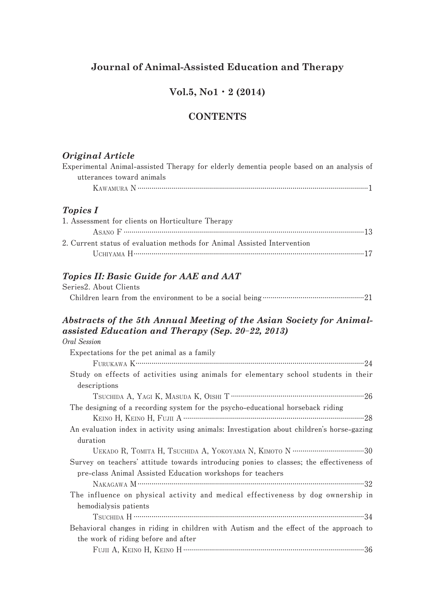## **Journal of Animal-Assisted Education and Therapy**

## **Vol.5, No1**・**2 (2014)**

## **CONTENTS**

#### *Original Article*

| Experimental Animal-assisted Therapy for elderly dementia people based on an analysis of |  |  |  |  |  |
|------------------------------------------------------------------------------------------|--|--|--|--|--|
| utterances toward animals                                                                |  |  |  |  |  |
|                                                                                          |  |  |  |  |  |

## *Topics I*

| 1. Assessment for clients on Horticulture Therapy                        |  |
|--------------------------------------------------------------------------|--|
|                                                                          |  |
| 2. Current status of evaluation methods for Animal Assisted Intervention |  |
|                                                                          |  |

## *Topics II: Basic Guide for AAE and AAT*

| Series2. About Clients |  |
|------------------------|--|
|                        |  |

#### *Abstracts of the 5th Annual Meeting of the Asian Society for Animalassisted Education and Therapy (Sep. 20***-***22, 2013)* **Oral Session**

| orat session                                                                               |
|--------------------------------------------------------------------------------------------|
| Expectations for the pet animal as a family                                                |
|                                                                                            |
| Study on effects of activities using animals for elementary school students in their       |
| descriptions                                                                               |
|                                                                                            |
| The designing of a recording system for the psycho-educational horseback riding            |
|                                                                                            |
| An evaluation index in activity using animals: Investigation about children's horse-gazing |
| duration                                                                                   |
|                                                                                            |
| Survey on teachers' attitude towards introducing ponies to classes; the effectiveness of   |
| pre-class Animal Assisted Education workshops for teachers                                 |
|                                                                                            |
| The influence on physical activity and medical effectiveness by dog ownership in           |
| hemodialysis patients                                                                      |
|                                                                                            |
| Behavioral changes in riding in children with Autism and the effect of the approach to     |
| the work of riding before and after                                                        |
|                                                                                            |